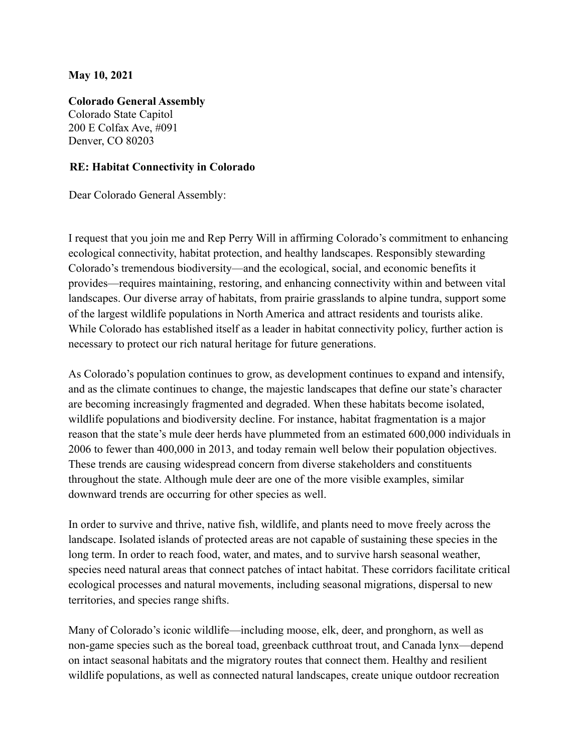## **May 10, 2021**

**Colorado General Assembly**

Colorado State Capitol 200 E Colfax Ave, #091 Denver, CO 80203

## **RE: Habitat Connectivity in Colorado**

Dear Colorado General Assembly:

I request that you join me and Rep Perry Will in affirming Colorado's commitment to enhancing ecological connectivity, habitat protection, and healthy landscapes. Responsibly stewarding Colorado's tremendous biodiversity—and the ecological, social, and economic benefits it provides—requires maintaining, restoring, and enhancing connectivity within and between vital landscapes. Our diverse array of habitats, from prairie grasslands to alpine tundra, support some of the largest wildlife populations in North America and attract residents and tourists alike. While Colorado has established itself as a leader in habitat connectivity policy, further action is necessary to protect our rich natural heritage for future generations.

As Colorado's population continues to grow, as development continues to expand and intensify, and as the climate continues to change, the majestic landscapes that define our state's character are becoming increasingly fragmented and degraded. When these habitats become isolated, wildlife populations and biodiversity decline. For instance, habitat fragmentation is a major reason that the state's mule deer herds have plummeted from an estimated 600,000 individuals in 2006 to fewer than 400,000 in 2013, and today remain well below their population objectives. These trends are causing widespread concern from diverse stakeholders and constituents throughout the state. Although mule deer are one of the more visible examples, similar downward trends are occurring for other species as well.

In order to survive and thrive, native fish, wildlife, and plants need to move freely across the landscape. Isolated islands of protected areas are not capable of sustaining these species in the long term. In order to reach food, water, and mates, and to survive harsh seasonal weather, species need natural areas that connect patches of intact habitat. These corridors facilitate critical ecological processes and natural movements, including seasonal migrations, dispersal to new territories, and species range shifts.

Many of Colorado's iconic wildlife—including moose, elk, deer, and pronghorn, as well as non-game species such as the boreal toad, greenback cutthroat trout, and Canada lynx—depend on intact seasonal habitats and the migratory routes that connect them. Healthy and resilient wildlife populations, as well as connected natural landscapes, create unique outdoor recreation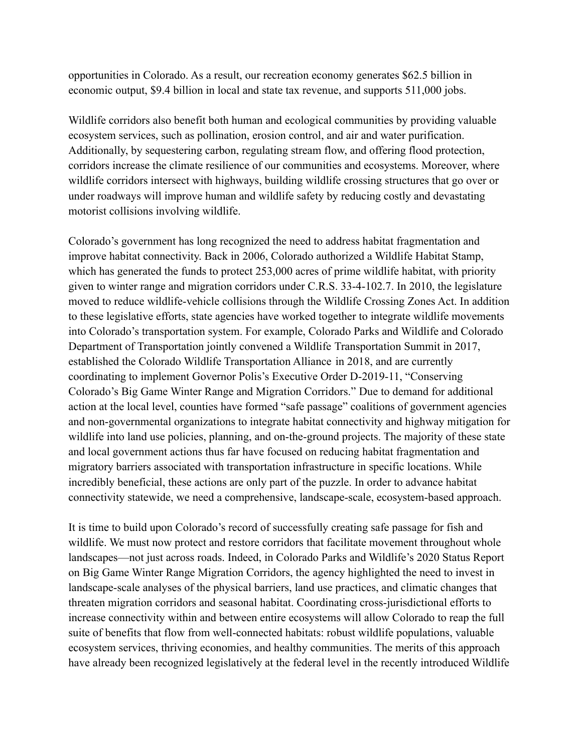opportunities in Colorado. As a result, our recreation economy generates \$62.5 billion in economic output, \$9.4 billion in local and state tax revenue, and supports 511,000 jobs.

Wildlife corridors also benefit both human and ecological communities by providing valuable ecosystem services, such as pollination, erosion control, and air and water purification. Additionally, by sequestering carbon, regulating stream flow, and offering flood protection, corridors increase the climate resilience of our communities and ecosystems. Moreover, where wildlife corridors intersect with highways, building wildlife crossing structures that go over or under roadways will improve human and wildlife safety by reducing costly and devastating motorist collisions involving wildlife.

Colorado's government has long recognized the need to address habitat fragmentation and improve habitat connectivity. Back in 2006, Colorado authorized a Wildlife Habitat Stamp, which has generated the funds to protect 253,000 acres of prime wildlife habitat, with priority given to winter range and migration corridors under C.R.S. 33-4-102.7. In 2010, the legislature moved to reduce wildlife-vehicle collisions through the Wildlife Crossing Zones Act. In addition to these legislative efforts, state agencies have worked together to integrate wildlife movements into Colorado's transportation system. For example, Colorado Parks and Wildlife and Colorado Department of Transportation jointly convened a Wildlife Transportation Summit in 2017, established the Colorado Wildlife Transportation Alliance in 2018, and are currently coordinating to implement Governor Polis's Executive Order D-2019-11, "Conserving Colorado's Big Game Winter Range and Migration Corridors." Due to demand for additional action at the local level, counties have formed "safe passage" coalitions of government agencies and non-governmental organizations to integrate habitat connectivity and highway mitigation for wildlife into land use policies, planning, and on-the-ground projects. The majority of these state and local government actions thus far have focused on reducing habitat fragmentation and migratory barriers associated with transportation infrastructure in specific locations. While incredibly beneficial, these actions are only part of the puzzle. In order to advance habitat connectivity statewide, we need a comprehensive, landscape-scale, ecosystem-based approach.

It is time to build upon Colorado's record of successfully creating safe passage for fish and wildlife. We must now protect and restore corridors that facilitate movement throughout whole landscapes—not just across roads. Indeed, in Colorado Parks and Wildlife's 2020 Status Report on Big Game Winter Range Migration Corridors, the agency highlighted the need to invest in landscape-scale analyses of the physical barriers, land use practices, and climatic changes that threaten migration corridors and seasonal habitat. Coordinating cross-jurisdictional efforts to increase connectivity within and between entire ecosystems will allow Colorado to reap the full suite of benefits that flow from well-connected habitats: robust wildlife populations, valuable ecosystem services, thriving economies, and healthy communities. The merits of this approach have already been recognized legislatively at the federal level in the recently introduced Wildlife